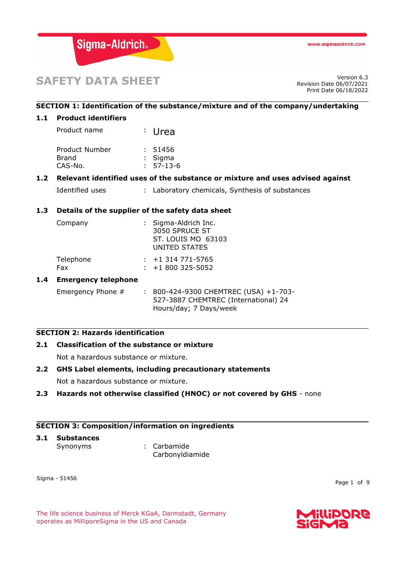

# **SAFETY DATA SHEET**

Revision Date 06/07/2021 Print Date 06/18/2022

# **SECTION 1: Identification of the substance/mixture and of the company/undertaking**

#### **1.1 Product identifiers**

Product name : Urea Product Number : 51456 Brand : Sigma CAS-No. : 57-13-6

#### **1.2 Relevant identified uses of the substance or mixture and uses advised against**

Identified uses : Laboratory chemicals, Synthesis of substances

#### **1.3 Details of the supplier of the safety data sheet**

| Company           | : Sigma-Aldrich Inc.<br>3050 SPRUCE ST<br>ST. LOUIS MO 63103<br>UNITED STATES |
|-------------------|-------------------------------------------------------------------------------|
| Telephone<br>Fax. | $: +1314771 - 5765$<br>$: +1800325 - 5052$                                    |

#### **1.4 Emergency telephone**

Emergency Phone # : 800-424-9300 CHEMTREC (USA) +1-703-527-3887 CHEMTREC (International) 24 Hours/day; 7 Days/week

#### **SECTION 2: Hazards identification**

# **2.1 Classification of the substance or mixture**

Not a hazardous substance or mixture.

#### **2.2 GHS Label elements, including precautionary statements**

Not a hazardous substance or mixture.

#### **2.3 Hazards not otherwise classified (HNOC) or not covered by GHS** - none

### **SECTION 3: Composition/information on ingredients**

# **3.1 Substances**

Synonyms : Carbamide Carbonyldiamide

Sigma - 51456

Page 1 of 9

The life science business of Merck KGaA, Darmstadt, Germany operates as MilliporeSigma in the US and Canada

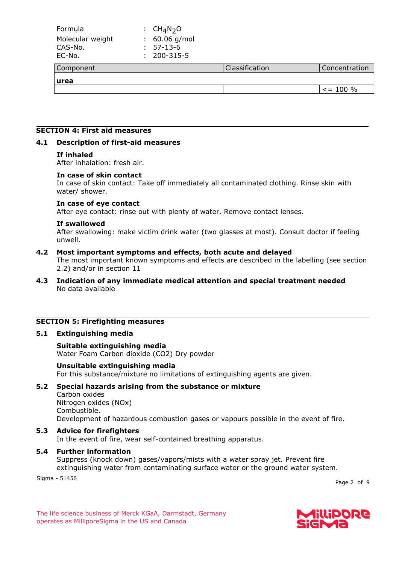| Formula                               | : $CH4N2O$                                         |                |                |
|---------------------------------------|----------------------------------------------------|----------------|----------------|
| Molecular weight<br>CAS-No.<br>EC-No. | $: 60.06$ g/mol<br>57-13-6<br>÷.<br>200-315-5<br>÷ |                |                |
| Component                             |                                                    | Classification | Concentration  |
| <b>urea</b>                           |                                                    |                |                |
|                                       |                                                    |                | $\leq$ = 100 % |

#### **SECTION 4: First aid measures**

#### **4.1 Description of first-aid measures**

#### **If inhaled**

After inhalation: fresh air.

#### **In case of skin contact**

In case of skin contact: Take off immediately all contaminated clothing. Rinse skin with water/ shower.

#### **In case of eye contact**

After eye contact: rinse out with plenty of water. Remove contact lenses.

#### **If swallowed**

After swallowing: make victim drink water (two glasses at most). Consult doctor if feeling unwell.

#### **4.2 Most important symptoms and effects, both acute and delayed**

The most important known symptoms and effects are described in the labelling (see section 2.2) and/or in section 11

**4.3 Indication of any immediate medical attention and special treatment needed** No data available

#### **SECTION 5: Firefighting measures**

#### **5.1 Extinguishing media**

**Suitable extinguishing media** Water Foam Carbon dioxide (CO2) Dry powder

#### **Unsuitable extinguishing media**

For this substance/mixture no limitations of extinguishing agents are given.

#### **5.2 Special hazards arising from the substance or mixture**

Carbon oxides Nitrogen oxides (NOx) Combustible. Development of hazardous combustion gases or vapours possible in the event of fire.

#### **5.3 Advice for firefighters**

In the event of fire, wear self-contained breathing apparatus.

#### **5.4 Further information**

Suppress (knock down) gases/vapors/mists with a water spray jet. Prevent fire extinguishing water from contaminating surface water or the ground water system.

Sigma - 51456

Page 2 of 9

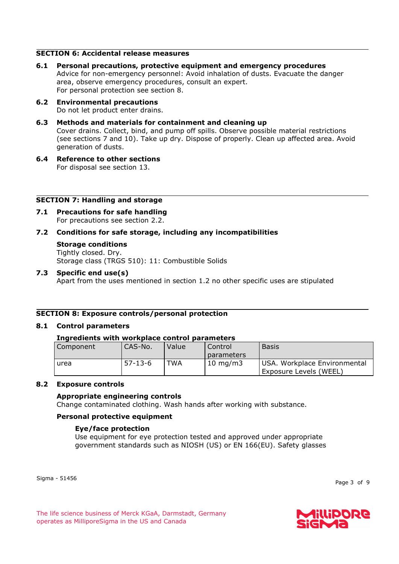# **SECTION 6: Accidental release measures**

- **6.1 Personal precautions, protective equipment and emergency procedures** Advice for non-emergency personnel: Avoid inhalation of dusts. Evacuate the danger area, observe emergency procedures, consult an expert. For personal protection see section 8.
- **6.2 Environmental precautions** Do not let product enter drains.
- **6.3 Methods and materials for containment and cleaning up** Cover drains. Collect, bind, and pump off spills. Observe possible material restrictions (see sections 7 and 10). Take up dry. Dispose of properly. Clean up affected area. Avoid generation of dusts.
- **6.4 Reference to other sections** For disposal see section 13.

#### **SECTION 7: Handling and storage**

**7.1 Precautions for safe handling** For precautions see section 2.2.

#### **7.2 Conditions for safe storage, including any incompatibilities**

**Storage conditions** Tightly closed. Dry. Storage class (TRGS 510): 11: Combustible Solids

#### **7.3 Specific end use(s)**

Apart from the uses mentioned in section 1.2 no other specific uses are stipulated

#### **SECTION 8: Exposure controls/personal protection**

#### **8.1 Control parameters**

#### **Ingredients with workplace control parameters**

| Component | CAS-No.       | Value | Control           | <b>Basis</b>                 |
|-----------|---------------|-------|-------------------|------------------------------|
|           |               |       | parameters        |                              |
| urea      | $57 - 13 - 6$ | TWA   | $10 \text{ mg/m}$ | USA. Workplace Environmental |
|           |               |       |                   | Exposure Levels (WEEL)       |

#### **8.2 Exposure controls**

#### **Appropriate engineering controls**

Change contaminated clothing. Wash hands after working with substance.

#### **Personal protective equipment**

#### **Eye/face protection**

Use equipment for eye protection tested and approved under appropriate government standards such as NIOSH (US) or EN 166(EU). Safety glasses

Sigma - 51456

Page 3 of 9

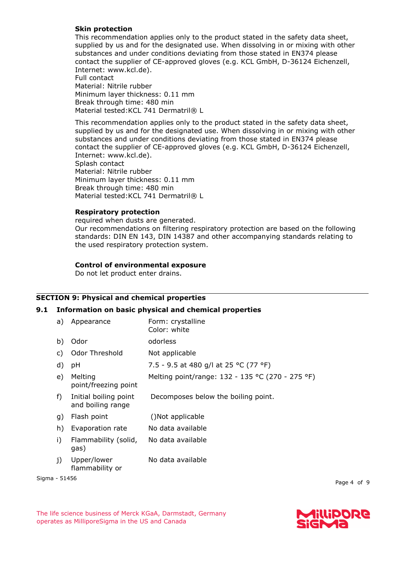# **Skin protection**

This recommendation applies only to the product stated in the safety data sheet, supplied by us and for the designated use. When dissolving in or mixing with other substances and under conditions deviating from those stated in EN374 please contact the supplier of CE-approved gloves (e.g. KCL GmbH, D-36124 Eichenzell, Internet: www.kcl.de). Full contact Material: Nitrile rubber Minimum layer thickness: 0.11 mm Break through time: 480 min Material tested: KCL 741 Dermatril® L

This recommendation applies only to the product stated in the safety data sheet, supplied by us and for the designated use. When dissolving in or mixing with other substances and under conditions deviating from those stated in EN374 please contact the supplier of CE-approved gloves (e.g. KCL GmbH, D-36124 Eichenzell, Internet: www.kcl.de). Splash contact Material: Nitrile rubber Minimum layer thickness: 0.11 mm Break through time: 480 min Material tested: KCL 741 Dermatril® L

# **Respiratory protection**

required when dusts are generated. Our recommendations on filtering respiratory protection are based on the following standards: DIN EN 143, DIN 14387 and other accompanying standards relating to the used respiratory protection system.

# **Control of environmental exposure**

Do not let product enter drains.

# **SECTION 9: Physical and chemical properties**

#### **9.1 Information on basic physical and chemical properties**

| a) | Appearance                                 | Form: crystalline<br>Color: white                |
|----|--------------------------------------------|--------------------------------------------------|
| b) | Odor                                       | odorless                                         |
| C) | Odor Threshold                             | Not applicable                                   |
| d) | рH                                         | 7.5 - 9.5 at 480 g/l at 25 °C (77 °F)            |
| e) | Melting<br>point/freezing point            | Melting point/range: 132 - 135 °C (270 - 275 °F) |
| f) | Initial boiling point<br>and boiling range | Decomposes below the boiling point.              |
| g) | Flash point                                | ()Not applicable                                 |
| h) | Evaporation rate                           | No data available                                |
| i) | Flammability (solid,<br>gas)               | No data available                                |
| j) | Upper/lower<br>flammability or             | No data available                                |

Sigma - 51456

Page 4 of 9

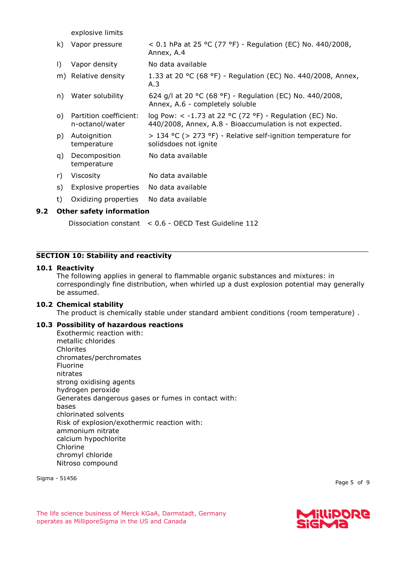explosive limits

| k)        | Vapor pressure                            | < 0.1 hPa at 25 °C (77 °F) - Regulation (EC) No. 440/2008,<br>Annex, A.4                                               |  |  |
|-----------|-------------------------------------------|------------------------------------------------------------------------------------------------------------------------|--|--|
| $\vert$ ) | Vapor density                             | No data available                                                                                                      |  |  |
|           | m) Relative density                       | 1.33 at 20 °C (68 °F) - Regulation (EC) No. 440/2008, Annex,<br>A.3                                                    |  |  |
| n)        | Water solubility                          | 624 g/l at 20 °C (68 °F) - Regulation (EC) No. 440/2008,<br>Annex, A.6 - completely soluble                            |  |  |
| O)        | Partition coefficient:<br>n-octanol/water | log Pow: $\lt$ -1.73 at 22 °C (72 °F) - Regulation (EC) No.<br>440/2008, Annex, A.8 - Bioaccumulation is not expected. |  |  |
| p)        | Autoignition<br>temperature               | $>$ 134 °C ( $>$ 273 °F) - Relative self-ignition temperature for<br>solidsdoes not ignite                             |  |  |
| q)        | Decomposition<br>temperature              | No data available                                                                                                      |  |  |
| r)        | Viscosity                                 | No data available                                                                                                      |  |  |
| s)        | Explosive properties                      | No data available                                                                                                      |  |  |
| t)        | Oxidizing properties                      | No data available                                                                                                      |  |  |
|           | Other safety information                  |                                                                                                                        |  |  |

# **9.2 Other safety information**

Dissociation constant < 0.6 - OECD Test Guideline 112

#### **SECTION 10: Stability and reactivity**

#### **10.1 Reactivity**

The following applies in general to flammable organic substances and mixtures: in correspondingly fine distribution, when whirled up a dust explosion potential may generally be assumed.

#### **10.2 Chemical stability**

The product is chemically stable under standard ambient conditions (room temperature) .

#### **10.3 Possibility of hazardous reactions**

Exothermic reaction with: metallic chlorides Chlorites chromates/perchromates Fluorine nitrates strong oxidising agents hydrogen peroxide Generates dangerous gases or fumes in contact with: bases chlorinated solvents Risk of explosion/exothermic reaction with: ammonium nitrate calcium hypochlorite Chlorine chromyl chloride Nitroso compound

Sigma - 51456

Page 5 of 9

The life science business of Merck KGaA, Darmstadt, Germany operates as MilliporeSigma in the US and Canada

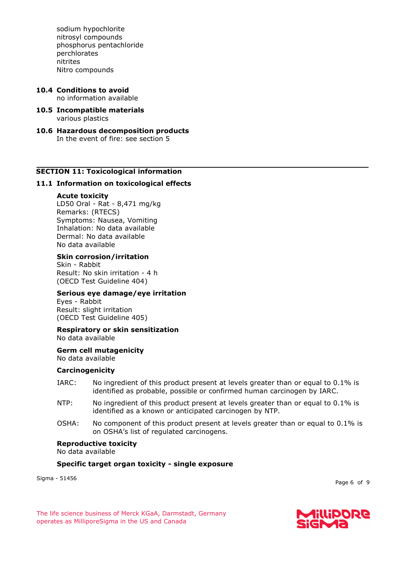sodium hypochlorite nitrosyl compounds phosphorus pentachloride perchlorates nitrites Nitro compounds

- **10.4 Conditions to avoid** no information available
- **10.5 Incompatible materials** various plastics
- **10.6 Hazardous decomposition products** In the event of fire: see section 5

#### **SECTION 11: Toxicological information**

#### **11.1 Information on toxicological effects**

#### **Acute toxicity**

LD50 Oral - Rat - 8,471 mg/kg Remarks: (RTECS) Symptoms: Nausea, Vomiting Inhalation: No data available Dermal: No data available No data available

#### **Skin corrosion/irritation**

Skin - Rabbit Result: No skin irritation - 4 h (OECD Test Guideline 404)

#### **Serious eye damage/eye irritation**

Eyes - Rabbit Result: slight irritation (OECD Test Guideline 405)

#### **Respiratory or skin sensitization** No data available

**Germ cell mutagenicity**

No data available

#### **Carcinogenicity**

- IARC: No ingredient of this product present at levels greater than or equal to 0.1% is identified as probable, possible or confirmed human carcinogen by IARC.
- NTP: No ingredient of this product present at levels greater than or equal to 0.1% is identified as a known or anticipated carcinogen by NTP.
- OSHA: No component of this product present at levels greater than or equal to 0.1% is on OSHA's list of regulated carcinogens.

#### **Reproductive toxicity**

No data available

#### **Specific target organ toxicity - single exposure**

Sigma - 51456

Page 6 of 9

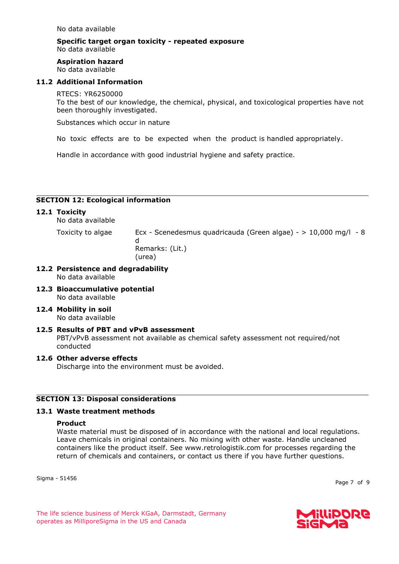No data available

# **Specific target organ toxicity - repeated exposure** No data available

# **Aspiration hazard**

No data available

# **11.2 Additional Information**

#### RTECS: YR6250000

To the best of our knowledge, the chemical, physical, and toxicological properties have not been thoroughly investigated.

Substances which occur in nature

No toxic effects are to be expected when the product is handled appropriately.

Handle in accordance with good industrial hygiene and safety practice.

# **SECTION 12: Ecological information**

# **12.1 Toxicity**

No data available

Toxicity to algae Ecx - Scenedesmus quadricauda (Green algae) - > 10,000 mg/l - 8 d Remarks: (Lit.) (urea)

- **12.2 Persistence and degradability** No data available
- **12.3 Bioaccumulative potential** No data available
- **12.4 Mobility in soil** No data available
- **12.5 Results of PBT and vPvB assessment** PBT/vPvB assessment not available as chemical safety assessment not required/not conducted

#### **12.6 Other adverse effects**

Discharge into the environment must be avoided.

#### **SECTION 13: Disposal considerations**

#### **13.1 Waste treatment methods**

#### **Product**

Waste material must be disposed of in accordance with the national and local regulations. Leave chemicals in original containers. No mixing with other waste. Handle uncleaned containers like the product itself. See www.retrologistik.com for processes regarding the return of chemicals and containers, or contact us there if you have further questions.

Sigma - 51456

Page 7 of 9

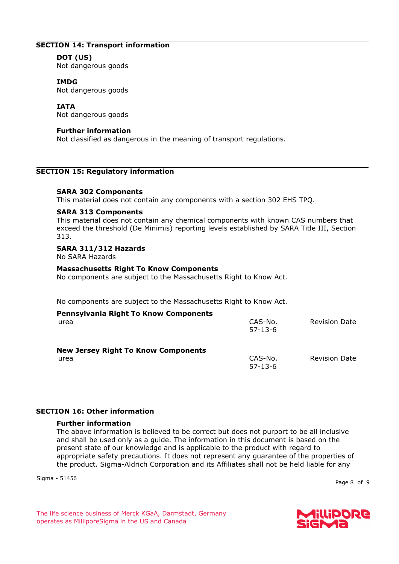# **SECTION 14: Transport information**

#### **DOT (US)**

Not dangerous goods

#### **IMDG**

Not dangerous goods

#### **IATA**

Not dangerous goods

#### **Further information**

Not classified as dangerous in the meaning of transport regulations.

#### **SECTION 15: Regulatory information**

#### **SARA 302 Components**

This material does not contain any components with a section 302 EHS TPQ.

#### **SARA 313 Components**

This material does not contain any chemical components with known CAS numbers that exceed the threshold (De Minimis) reporting levels established by SARA Title III, Section 313.

#### **SARA 311/312 Hazards**

No SARA Hazards

#### **Massachusetts Right To Know Components**

No components are subject to the Massachusetts Right to Know Act.

No components are subject to the Massachusetts Right to Know Act.

| <b>Pennsylvania Right To Know Components</b><br>urea | CAS-No.<br>$57 - 13 - 6$ | <b>Revision Date</b> |
|------------------------------------------------------|--------------------------|----------------------|
| <b>New Jersey Right To Know Components</b><br>urea   | CAS-No.<br>$57 - 13 - 6$ | <b>Revision Date</b> |

# **SECTION 16: Other information**

#### **Further information**

The above information is believed to be correct but does not purport to be all inclusive and shall be used only as a guide. The information in this document is based on the present state of our knowledge and is applicable to the product with regard to appropriate safety precautions. It does not represent any guarantee of the properties of the product. Sigma-Aldrich Corporation and its Affiliates shall not be held liable for any

Sigma - 51456

Page 8 of 9